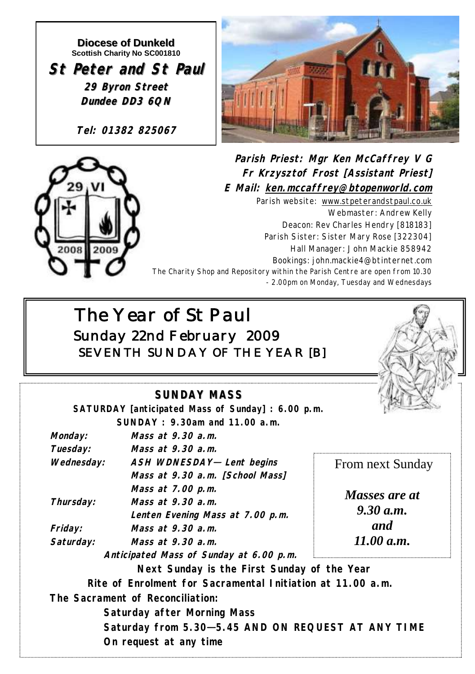**Diocese of Dunkeld Scottish Charity No SC001810 St Peter and St Paul 29 Byron Street Dundee DD3 6QN**

**Tel: 01382 825067**





. . . . . . . . . . . . . .

**Parish Priest: Mgr Ken McCaffrey V G Fr Krzysztof Frost [Assistant Priest] E Mail: ken.mccaffrey@btopenworld.com** Parish website: www.stpeterandstpaul.co.uk Webmaster: Andrew Kelly Deacon: Rev Charles Hendry [818183] Parish Sister: Sister Mary Rose [322304] Hall Manager: John Mackie 858942 Bookings: john.mackie4@btinternet.com The Charity Shop and Repository within the Parish Centre are open from 10.30 - 2.00pm on Monday, Tuesday and Wednesdays

# *The Year of St Paul Sunday 22nd February 2009 SEVENTH SUNDAY OF THE YEAR [B]*

| <i>Monday:</i>         | SUNDAY MASS<br>SATURDAY [anticipated Mass of Sunday]: 6.00 p.m.<br>SUNDAY: 9.30am and 11.00 a.m.<br>Mass at 9,30 a.m.                                                                                         |                                   |
|------------------------|---------------------------------------------------------------------------------------------------------------------------------------------------------------------------------------------------------------|-----------------------------------|
| Tuesday:<br>Wednesday: | Mass at 9,30 a.m.<br>ASH WDNESDAY— Lent begins<br>Mass at 9.30 a.m. [School Mass]<br>Mass at 7.00 p.m.                                                                                                        | From next Sunday                  |
| Thursday:<br>Friday:   | Mass at 9,30 a.m.<br>Lenten Evening Mass at 7.00 p.m.<br>Mass at 9.30 $\alpha$ m.                                                                                                                             | Masses are at<br>9.30 a.m.<br>and |
| Saturday:              | Mass at 9,30 a.m.<br>Anticipated Mass of Sunday at 6.00 p.m.                                                                                                                                                  | 11.00 a.m.                        |
|                        | Next Sunday is the First Sunday of the Year                                                                                                                                                                   |                                   |
|                        | Rite of Enrolment for Sacramental Initiation at 11.00 a.m.<br>The Sacrament of Reconciliation:<br>Saturday after Morning Mass<br>Saturday from 5.30-5.45 AND ON REQUEST AT ANY TIME<br>On request at any time |                                   |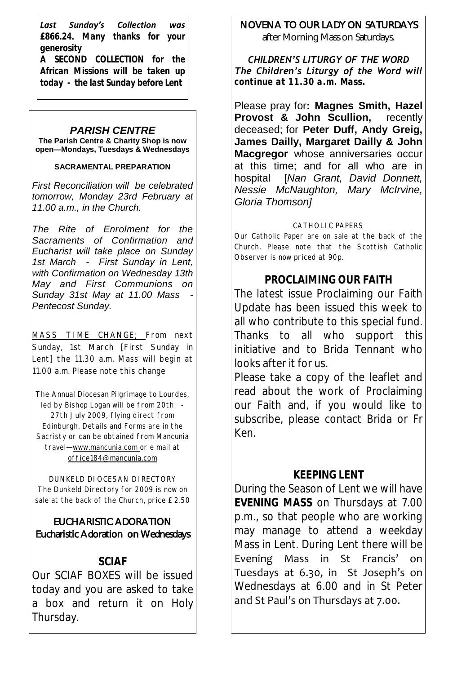*Last Sunday's Collection was £866.24. Many thanks for your generosity A SECOND COLLECTION for the African Missions will be taken up today - the last Sunday before Lent*

### *PARISH CENTRE*

**The Parish Centre & Charity Shop is now open—Mondays, Tuesdays & Wednesdays**

#### **SACRAMENTAL PREPARATION**

*First Reconciliation will be celebrated tomorrow, Monday 23rd February at 11.00 a.m., in the Church.*

*The Rite of Enrolment for the Sacraments of Confirmation and Eucharist will take place on Sunday 1st March - First Sunday in Lent, with Confirmation on Wednesday 13th May and First Communions on Sunday 31st May at 11.00 Mass - Pentecost Sunday.*

MASS TIME CHANGE; From next Sunday, 1st March [First Sunday in Lent] the 11.30 a.m. Mass will begin at 11.00 a.m. Please note this change

The Annual Diocesan Pilgrimage to Lourdes, led by Bishop Logan will be from 20th - 27th July 2009, flying direct from Edinburgh. Details and Forms are in the Sacristy or can be obtained from Mancunia travel—www.mancunia.com or e mail at office184@mancunia.com

DUNKELD DIOCESAN DIRECTORY The Dunkeld Directory for 2009 is now on sale at the back of the Church, price £2.50

### EUCHARISTIC ADORATION Eucharistic Adoration on Wednesdays

### **SCIAF**

Our SCIAF BOXES will be issued today and you are asked to take a box and return it on Holy Thursday.

NOVENA TO OUR LADY ON SATURDAYS after Morning Mass on Saturdays.

*CHILDREN'S LITURGY OF THE WORD The Children's Liturgy of the Word will continue at 11.30 a.m. Mass.* 

Please pray for**: Magnes Smith, Hazel Provost & John Scullion,** recently deceased; for **Peter Duff, Andy Greig, James Dailly, Margaret Dailly & John Macgregor** whose anniversaries occur at this time; and for all who are in hospital [*Nan Grant, David Donnett, Nessie McNaughton, Mary McIrvine, Gloria Thomson]*

#### CATHOLIC PAPERS

Our Catholic Paper are on sale at the back of the Church. Please note that the Scottish Catholic Observer is now priced at 90p.

### **PROCLAIMING OUR FAITH**

The latest issue Proclaiming our Faith Update has been issued this week to all who contribute to this special fund. Thanks to all who support this initiative and to Brida Tennant who looks after it for us.

Please take a copy of the leaflet and read about the work of Proclaiming our Faith and, if you would like to subscribe, please contact Brida or Fr Ken.

### **KEEPING LENT**

During the Season of Lent we will have **EVENING MASS** on Thursdays at 7.00 p.m., so that people who are working may manage to attend a weekday Mass in Lent. During Lent there will be Evening Mass in St Francis' on Tuesdays at 6.30, in St Joseph's on Wednesdays at 6.00 and in St Peter and St Paul's on Thursdays at 7.00.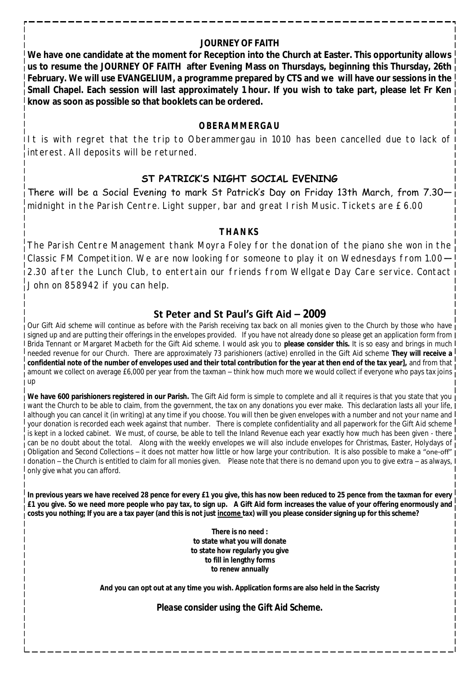### **JOURNEY OF FAITH**

**We have one candidate at the moment for Reception into the Church at Easter. This opportunity allows us to resume the JOURNEY OF FAITH after Evening Mass on Thursdays, beginning this Thursday, 26th February. We will use EVANGELIUM, a programme prepared by CTS and we will have our sessions in the Small Chapel. Each session will last approximately 1 hour. If you wish to take part, please let Fr Ken know as soon as possible so that booklets can be ordered.**

#### **OBERAMMERGAU**

It is with regret that the trip to Oberammergau in 1010 has been cancelled due to lack of interest. All deposits will be returned.

### **ST PATRICK'S NIGHT SOCIAL EVENING**

There will be a Social Evening to mark St Patrick's Day on Friday 13th March, from 7.30 midnight in the Parish Centre. Light supper, bar and great Irish Music. Tickets are £6.00

#### **THANKS**

The Parish Centre Management thank Moyra Foley for the donation of the piano she won in the Classic FM Competition. We are now looking for someone to play it on Wednesdays from 1.00— 2.30 after the Lunch Club, to entertain our friends from Wellgate Day Care service. Contact John on 858942 if you can help.

### **St Peter and St Paul's Gift Aid – 2009**

Our Gift Aid scheme will continue as before with the Parish receiving tax back on all monies given to the Church by those who have signed up and are putting their offerings in the envelopes provided. If you have not already done so please get an application form from Brida Tennant or Margaret Macbeth for the Gift Aid scheme. I would ask you to **please consider this.** It is so easy and brings in much needed revenue for our Church. There are approximately 73 parishioners (active) enrolled in the Gift Aid scheme **They will receive a confidential note of the number of envelopes used and their total contribution for the year at then end of the tax year],** and from that amount we collect on average £6,000 per year from the taxman – think how much more we would collect if everyone who pays tax joins up

**We have 600 parishioners registered in our Parish.** The Gift Aid form is simple to complete and all it requires is that you state that you want the Church to be able to claim, from the government, the tax on any donations you ever make. This declaration lasts all your life, although you can cancel it (in writing) at any time if you choose. You will then be given envelopes with a number and not your name and your donation is recorded each week against that number. There is complete confidentiality and all paperwork for the Gift Aid scheme is kept in a locked cabinet. We must, of course, be able to tell the Inland Revenue each year exactly how much has been given - there can be no doubt about the total. Along with the weekly envelopes we will also include envelopes for Christmas, Easter, Holydays of Obligation and Second Collections – it does not matter how little or how large your contribution. It is also possible to make a "one-off" donation – the Church is entitled to claim for all monies given. Please note that there is no demand upon you to give extra – as always, only give what you can afford.

**In previous years we have received 28 pence for every £1 you give, this has now been reduced to 25 pence from the taxman for every £1 you give. So we need more people who pay tax, to sign up. A Gift Aid form increases the value of your offering enormously and costs you nothing; If you are a tax payer (and this is not just income tax) will you please consider signing up for this scheme?**

> **There is no need : to state what you will donate to state how regularly you give to fill in lengthy forms to renew annually**

**And you can opt out at any time you wish. Application forms are also held in the Sacristy**

*Please consider using the Gift Aid Scheme.*